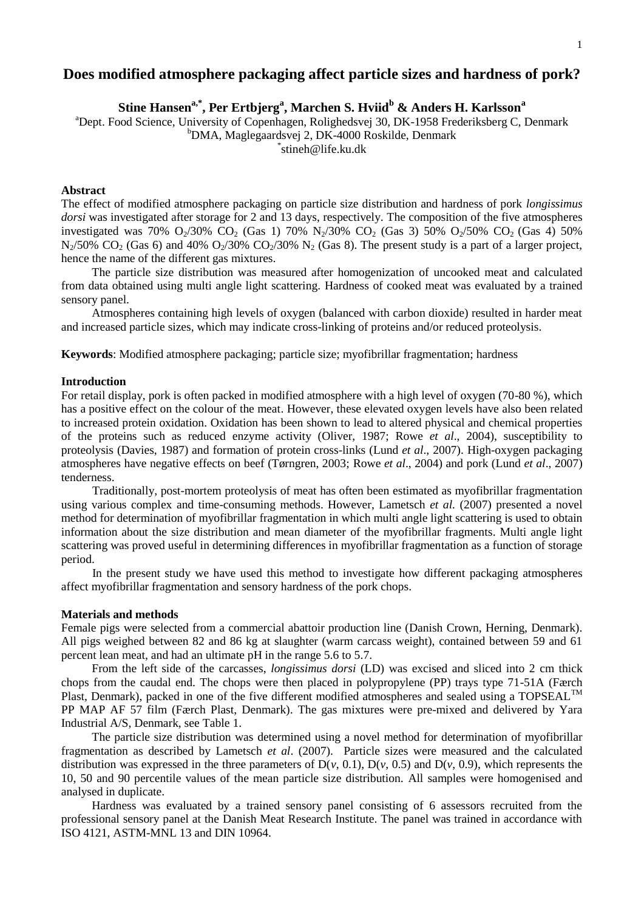#### 1

# **Does modified atmosphere packaging affect particle sizes and hardness of pork?**

**Stine Hansena,\*, Per Ertbjerg<sup>a</sup> , Marchen S. Hviid<sup>b</sup> & Anders H. Karlsson<sup>a</sup>**

<sup>a</sup>Dept. Food Science, University of Copenhagen, Rolighedsvej 30, DK-1958 Frederiksberg C, Denmark <sup>b</sup>DMA, Maglegaardsvej 2, DK-4000 Roskilde, Denmark \* stineh@life.ku.dk

## **Abstract**

The effect of modified atmosphere packaging on particle size distribution and hardness of pork *longissimus dorsi* was investigated after storage for 2 and 13 days, respectively. The composition of the five atmospheres investigated was 70%  $O_2/30\%$  CO<sub>2</sub> (Gas 1) 70% N<sub>2</sub>/30% CO<sub>2</sub> (Gas 3) 50% O<sub>2</sub>/50% CO<sub>2</sub> (Gas 4) 50%  $N_2/50\%$  CO<sub>2</sub> (Gas 6) and 40% O<sub>2</sub>/30% CO<sub>2</sub>/30% N<sub>2</sub> (Gas 8). The present study is a part of a larger project, hence the name of the different gas mixtures.

The particle size distribution was measured after homogenization of uncooked meat and calculated from data obtained using multi angle light scattering. Hardness of cooked meat was evaluated by a trained sensory panel.

Atmospheres containing high levels of oxygen (balanced with carbon dioxide) resulted in harder meat and increased particle sizes, which may indicate cross-linking of proteins and/or reduced proteolysis.

**Keywords**: Modified atmosphere packaging; particle size; myofibrillar fragmentation; hardness

# **Introduction**

For retail display, pork is often packed in modified atmosphere with a high level of oxygen (70-80 %), which has a positive effect on the colour of the meat. However, these elevated oxygen levels have also been related to increased protein oxidation. Oxidation has been shown to lead to altered physical and chemical properties of the proteins such as reduced enzyme activity (Oliver, 1987; Rowe *et al*., 2004), susceptibility to proteolysis (Davies, 1987) and formation of protein cross-links (Lund *et al*., 2007). High-oxygen packaging atmospheres have negative effects on beef (Tørngren, 2003; Rowe *et al*., 2004) and pork (Lund *et al*., 2007) tenderness.

Traditionally, post-mortem proteolysis of meat has often been estimated as myofibrillar fragmentation using various complex and time-consuming methods. However, Lametsch *et al.* (2007) presented a novel method for determination of myofibrillar fragmentation in which multi angle light scattering is used to obtain information about the size distribution and mean diameter of the myofibrillar fragments. Multi angle light scattering was proved useful in determining differences in myofibrillar fragmentation as a function of storage period.

In the present study we have used this method to investigate how different packaging atmospheres affect myofibrillar fragmentation and sensory hardness of the pork chops.

# **Materials and methods**

Female pigs were selected from a commercial abattoir production line (Danish Crown, Herning, Denmark). All pigs weighed between 82 and 86 kg at slaughter (warm carcass weight), contained between 59 and 61 percent lean meat, and had an ultimate pH in the range 5.6 to 5.7.

From the left side of the carcasses, *longissimus dorsi* (LD) was excised and sliced into 2 cm thick chops from the caudal end. The chops were then placed in polypropylene (PP) trays type 71-51A (Færch Plast, Denmark), packed in one of the five different modified atmospheres and sealed using a TOPSEAL<sup>TM</sup> PP MAP AF 57 film (Færch Plast, Denmark). The gas mixtures were pre-mixed and delivered by Yara Industrial A/S, Denmark, see [Table 1.](#page-1-0)

The particle size distribution was determined using a novel method for determination of myofibrillar fragmentation as described by Lametsch *et al*. (2007). Particle sizes were measured and the calculated distribution was expressed in the three parameters of  $D(\nu, 0.1)$ ,  $D(\nu, 0.5)$  and  $D(\nu, 0.9)$ , which represents the 10, 50 and 90 percentile values of the mean particle size distribution. All samples were homogenised and analysed in duplicate.

Hardness was evaluated by a trained sensory panel consisting of 6 assessors recruited from the professional sensory panel at the Danish Meat Research Institute. The panel was trained in accordance with ISO 4121, ASTM-MNL 13 and DIN 10964.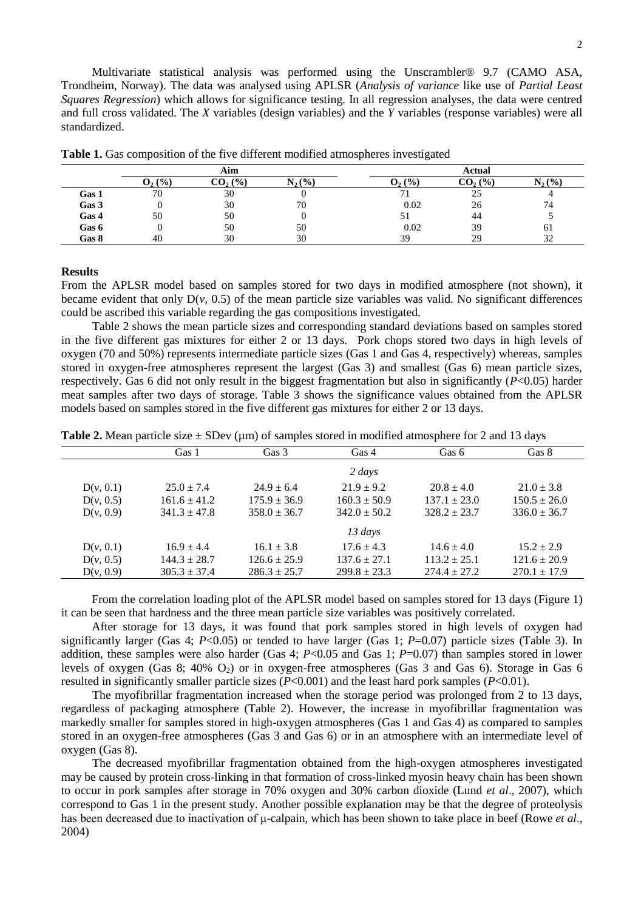|       |           | Aim       |           |             | Actual    |             |  |  |
|-------|-----------|-----------|-----------|-------------|-----------|-------------|--|--|
|       | $O_2(\%)$ | $CO2(\%)$ | $N_2$ (%) | $O_{2}$ (%) | $CO2(\%)$ | $N_{2}(\%)$ |  |  |
| Gas 1 | 70        | 30        |           |             | 25        |             |  |  |
| Gas 3 |           | 30        | 70        | 0.02        | 26        | 74          |  |  |
| Gas 4 | 50        | 50        |           |             | 44        |             |  |  |
| Gas 6 |           | 50        | 50        | 0.02        | 39        | 01          |  |  |
| Gas 8 | 40        | 30        | 30        | 39          | 29        | 20<br>ے ر   |  |  |

<span id="page-1-0"></span>**Table 1.** Gas composition of the five different modified atmospheres investigated

#### **Results**

From the APLSR model based on samples stored for two days in modified atmosphere (not shown), it became evident that only  $D(v, 0.5)$  of the mean particle size variables was valid. No significant differences could be ascribed this variable regarding the gas compositions investigated.

[Table 2](#page-1-1) shows the mean particle sizes and corresponding standard deviations based on samples stored in the five different gas mixtures for either 2 or 13 days. Pork chops stored two days in high levels of oxygen (70 and 50%) represents intermediate particle sizes (Gas 1 and Gas 4, respectively) whereas, samples stored in oxygen-free atmospheres represent the largest (Gas 3) and smallest (Gas 6) mean particle sizes, respectively. Gas 6 did not only result in the biggest fragmentation but also in significantly (*P*<0.05) harder meat samples after two days of storage. [Table 3](#page-2-0) shows the significance values obtained from the APLSR models based on samples stored in the five different gas mixtures for either 2 or 13 days.

<span id="page-1-1"></span>**Table 2.** Mean particle size  $\pm$  SDev ( $\mu$ m) of samples stored in modified atmosphere for 2 and 13 days

|           | Gas 1            | Gas 3            | Gas 4            | Gas 6            | Gas 8            |
|-----------|------------------|------------------|------------------|------------------|------------------|
|           |                  |                  | $2 \; days$      |                  |                  |
| D(v, 0.1) | $25.0 \pm 7.4$   | $24.9 \pm 6.4$   | $21.9 \pm 9.2$   | $20.8 \pm 4.0$   | $21.0 \pm 3.8$   |
| D(v, 0.5) | $161.6 \pm 41.2$ | $175.9 \pm 36.9$ | $160.3 \pm 50.9$ | $137.1 \pm 23.0$ | $150.5 \pm 26.0$ |
| D(v, 0.9) | $341.3 \pm 47.8$ | $358.0 \pm 36.7$ | $342.0 \pm 50.2$ | $328.2 \pm 23.7$ | $336.0 \pm 36.7$ |
|           |                  |                  | $13 \; days$     |                  |                  |
| D(v, 0.1) | $16.9 \pm 4.4$   | $16.1 \pm 3.8$   | $17.6 \pm 4.3$   | $14.6 \pm 4.0$   | $15.2 \pm 2.9$   |
| D(v, 0.5) | $144.3 \pm 28.7$ | $126.6 \pm 25.9$ | $137.6 \pm 27.1$ | $113.2 \pm 25.1$ | $121.6 \pm 20.9$ |
| D(v, 0.9) | $305.3 \pm 37.4$ | $286.3 \pm 25.7$ | $299.8 \pm 23.3$ | $274.4 \pm 27.2$ | $270.1 \pm 17.9$ |

From the correlation loading plot of the APLSR model based on samples stored for 13 days [\(Figure 1\)](#page-2-1) it can be seen that hardness and the three mean particle size variables was positively correlated.

After storage for 13 days, it was found that pork samples stored in high levels of oxygen had significantly larger (Gas 4;  $P<0.05$ ) or tended to have larger (Gas 1;  $P=0.07$ ) particle sizes [\(Table 3\)](#page-2-0). In addition, these samples were also harder (Gas 4; *P*<0.05 and Gas 1; *P*=0.07) than samples stored in lower levels of oxygen (Gas 8; 40%  $O_2$ ) or in oxygen-free atmospheres (Gas 3 and Gas 6). Storage in Gas 6 resulted in significantly smaller particle sizes (*P*<0.001) and the least hard pork samples (*P*<0.01).

The myofibrillar fragmentation increased when the storage period was prolonged from 2 to 13 days, regardless of packaging atmosphere [\(Table 2\)](#page-1-1). However, the increase in myofibrillar fragmentation was markedly smaller for samples stored in high-oxygen atmospheres (Gas 1 and Gas 4) as compared to samples stored in an oxygen-free atmospheres (Gas 3 and Gas 6) or in an atmosphere with an intermediate level of oxygen (Gas 8).

The decreased myofibrillar fragmentation obtained from the high-oxygen atmospheres investigated may be caused by protein cross-linking in that formation of cross-linked myosin heavy chain has been shown to occur in pork samples after storage in 70% oxygen and 30% carbon dioxide (Lund *et al*., 2007), which correspond to Gas 1 in the present study. Another possible explanation may be that the degree of proteolysis has been decreased due to inactivation of μ-calpain, which has been shown to take place in beef (Rowe *et al*., 2004)